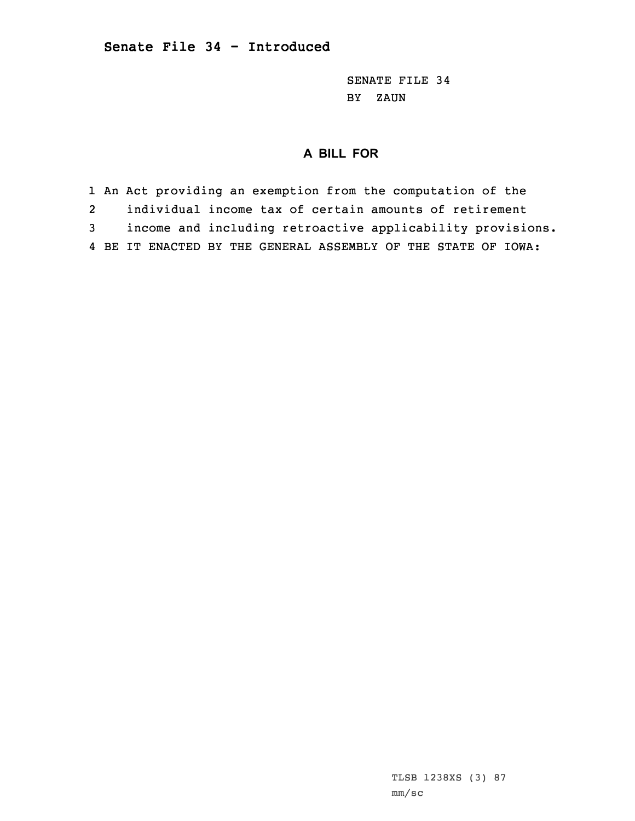SENATE FILE 34 BY ZAUN

## **A BILL FOR**

1 An Act providing an exemption from the computation of the 2 individual income tax of certain amounts of retirement 3 income and including retroactive applicability provisions. 4 BE IT ENACTED BY THE GENERAL ASSEMBLY OF THE STATE OF IOWA: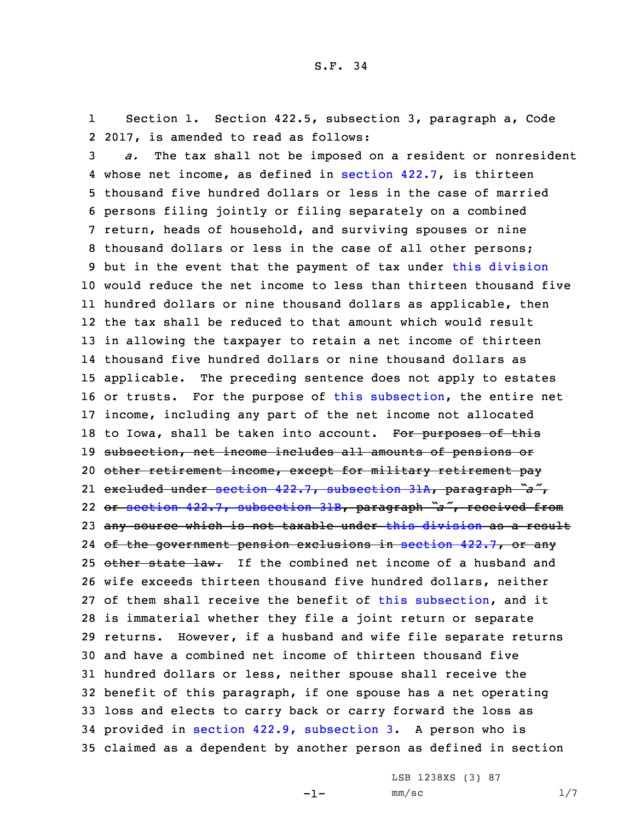1 Section 1. Section 422.5, subsection 3, paragraph a, Code 2 2017, is amended to read as follows:

 *a.* The tax shall not be imposed on <sup>a</sup> resident or nonresident whose net income, as defined in [section](https://www.legis.iowa.gov/docs/code/2017/422.7.pdf) 422.7, is thirteen thousand five hundred dollars or less in the case of married persons filing jointly or filing separately on <sup>a</sup> combined return, heads of household, and surviving spouses or nine thousand dollars or less in the case of all other persons; 9 but in the event that the payment of tax under this [division](https://www.legis.iowa.gov/docs/code/2017/422.pdf) would reduce the net income to less than thirteen thousand five hundred dollars or nine thousand dollars as applicable, then the tax shall be reduced to that amount which would result in allowing the taxpayer to retain <sup>a</sup> net income of thirteen thousand five hundred dollars or nine thousand dollars as applicable. The preceding sentence does not apply to estates or trusts. For the purpose of this [subsection](https://www.legis.iowa.gov/docs/code/2017/422.5.pdf), the entire net income, including any part of the net income not allocated 18 to Iowa, shall be taken into account. For purposes of this subsection, net income includes all amounts of pensions or 20 other retirement income, except for military retirement pay excluded under section 422.7, [subsection](https://www.legis.iowa.gov/docs/code/2017/422.7.pdf) 31A, paragraph *"a"*, or section 422.7, [subsection](https://www.legis.iowa.gov/docs/code/2017/422.7.pdf) 31B, paragraph *"a"*, received from any source which is not taxable under this [division](https://www.legis.iowa.gov/docs/code/2017/422.pdf) as <sup>a</sup> result 24 <del>of the government pension exclusions in [section](https://www.legis.iowa.gov/docs/code/2017/422.7.pdf) 422.7, or any</del> 25 other state law. If the combined net income of a husband and wife exceeds thirteen thousand five hundred dollars, neither of them shall receive the benefit of this [subsection](https://www.legis.iowa.gov/docs/code/2017/422.5.pdf), and it is immaterial whether they file <sup>a</sup> joint return or separate returns. However, if <sup>a</sup> husband and wife file separate returns and have <sup>a</sup> combined net income of thirteen thousand five hundred dollars or less, neither spouse shall receive the benefit of this paragraph, if one spouse has <sup>a</sup> net operating loss and elects to carry back or carry forward the loss as provided in section 422.9, [subsection](https://www.legis.iowa.gov/docs/code/2017/422.9.pdf) 3. <sup>A</sup> person who is claimed as <sup>a</sup> dependent by another person as defined in section

-1-

LSB 1238XS (3) 87 mm/sc 1/7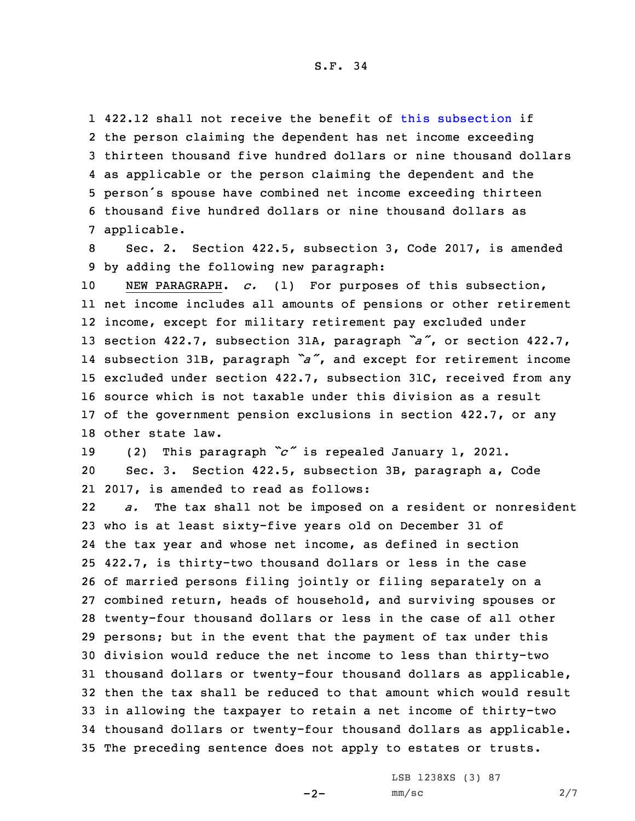422.12 shall not receive the benefit of this [subsection](https://www.legis.iowa.gov/docs/code/2017/422.5.pdf) if the person claiming the dependent has net income exceeding thirteen thousand five hundred dollars or nine thousand dollars as applicable or the person claiming the dependent and the person's spouse have combined net income exceeding thirteen thousand five hundred dollars or nine thousand dollars as applicable.

8 Sec. 2. Section 422.5, subsection 3, Code 2017, is amended 9 by adding the following new paragraph:

 NEW PARAGRAPH. *c.* (1) For purposes of this subsection, net income includes all amounts of pensions or other retirement income, except for military retirement pay excluded under section 422.7, subsection 31A, paragraph *"a"*, or section 422.7, subsection 31B, paragraph *"a"*, and except for retirement income excluded under section 422.7, subsection 31C, received from any source which is not taxable under this division as <sup>a</sup> result of the government pension exclusions in section 422.7, or any other state law.

<sup>19</sup> (2) This paragraph *"c"* is repealed January 1, 2021. 20 Sec. 3. Section 422.5, subsection 3B, paragraph a, Code 21 2017, is amended to read as follows:

22 *a.* The tax shall not be imposed on <sup>a</sup> resident or nonresident who is at least sixty-five years old on December 31 of the tax year and whose net income, as defined in section 422.7, is thirty-two thousand dollars or less in the case of married persons filing jointly or filing separately on <sup>a</sup> combined return, heads of household, and surviving spouses or twenty-four thousand dollars or less in the case of all other persons; but in the event that the payment of tax under this division would reduce the net income to less than thirty-two thousand dollars or twenty-four thousand dollars as applicable, then the tax shall be reduced to that amount which would result in allowing the taxpayer to retain <sup>a</sup> net income of thirty-two thousand dollars or twenty-four thousand dollars as applicable. The preceding sentence does not apply to estates or trusts.

 $-2-$ 

LSB 1238XS (3) 87 mm/sc 2/7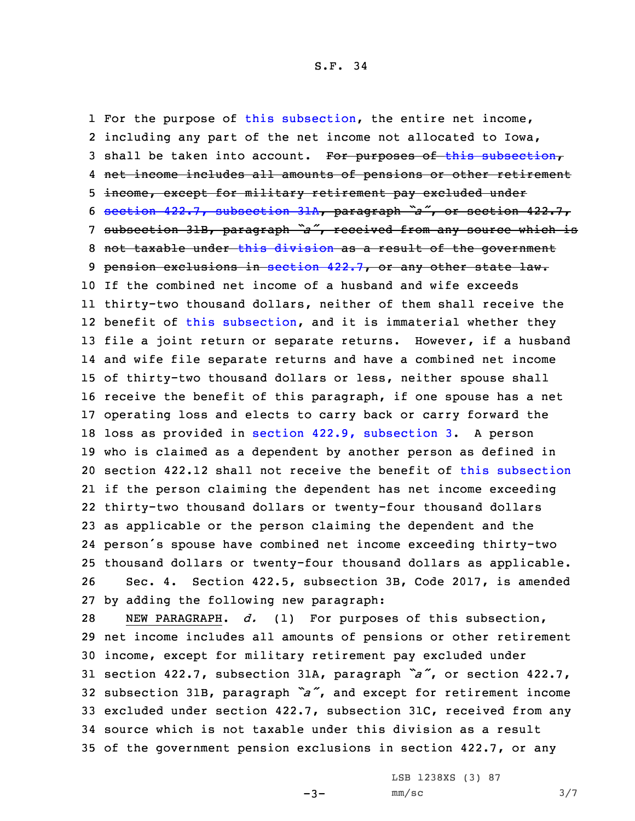For the purpose of this [subsection](https://www.legis.iowa.gov/docs/code/2017/422.5.pdf), the entire net income, including any part of the net income not allocated to Iowa, 3 shall be taken into account. For purposes of this [subsection](https://www.legis.iowa.gov/docs/code/2017/422.5.pdf), net income includes all amounts of pensions or other retirement income, except for military retirement pay excluded under section 422.7, [subsection](https://www.legis.iowa.gov/docs/code/2017/422.7.pdf) 31A, paragraph *"a"*, or section 422.7, subsection 31B, paragraph *"a"*, received from any source which is not taxable under this [division](https://www.legis.iowa.gov/docs/code/2017/422.pdf) as <sup>a</sup> result of the government 9 pension exclusions in [section](https://www.legis.iowa.gov/docs/code/2017/422.7.pdf) 422.7, or any other state law. If the combined net income of <sup>a</sup> husband and wife exceeds thirty-two thousand dollars, neither of them shall receive the benefit of this [subsection](https://www.legis.iowa.gov/docs/code/2017/422.5.pdf), and it is immaterial whether they file <sup>a</sup> joint return or separate returns. However, if <sup>a</sup> husband and wife file separate returns and have <sup>a</sup> combined net income of thirty-two thousand dollars or less, neither spouse shall receive the benefit of this paragraph, if one spouse has <sup>a</sup> net operating loss and elects to carry back or carry forward the loss as provided in section 422.9, [subsection](https://www.legis.iowa.gov/docs/code/2017/422.9.pdf) 3. <sup>A</sup> person who is claimed as <sup>a</sup> dependent by another person as defined in section 422.12 shall not receive the benefit of this [subsection](https://www.legis.iowa.gov/docs/code/2017/422.5.pdf) if the person claiming the dependent has net income exceeding thirty-two thousand dollars or twenty-four thousand dollars as applicable or the person claiming the dependent and the person's spouse have combined net income exceeding thirty-two thousand dollars or twenty-four thousand dollars as applicable. Sec. 4. Section 422.5, subsection 3B, Code 2017, is amended by adding the following new paragraph:

 NEW PARAGRAPH. *d.* (1) For purposes of this subsection, net income includes all amounts of pensions or other retirement income, except for military retirement pay excluded under section 422.7, subsection 31A, paragraph *"a"*, or section 422.7, subsection 31B, paragraph *"a"*, and except for retirement income excluded under section 422.7, subsection 31C, received from any source which is not taxable under this division as <sup>a</sup> result of the government pension exclusions in section 422.7, or any

 $-3-$ 

LSB 1238XS (3) 87  $mm/sc$  3/7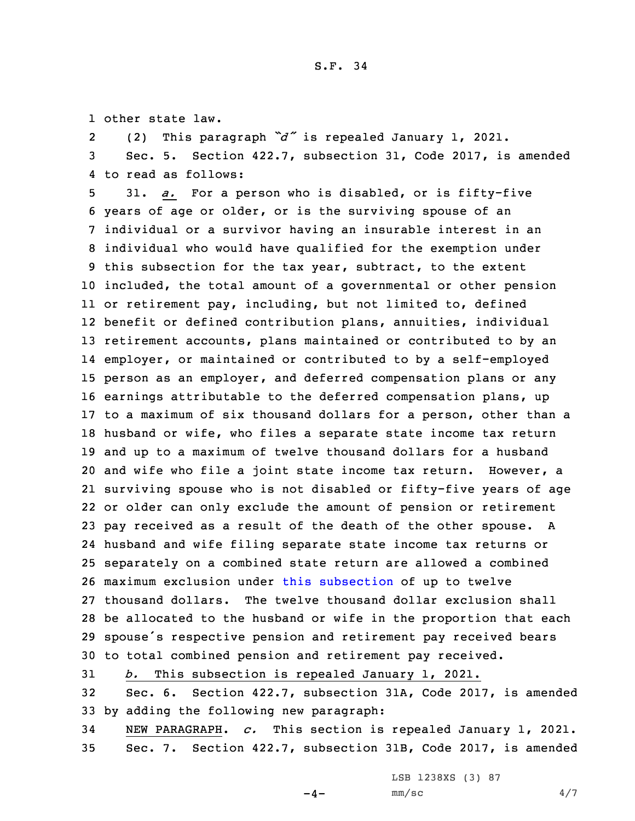1 other state law.

2(2) This paragraph *"d"* is repealed January 1, 2021.

3 Sec. 5. Section 422.7, subsection 31, Code 2017, is amended 4 to read as follows:

 31. *a.* For <sup>a</sup> person who is disabled, or is fifty-five years of age or older, or is the surviving spouse of an individual or <sup>a</sup> survivor having an insurable interest in an individual who would have qualified for the exemption under this subsection for the tax year, subtract, to the extent included, the total amount of <sup>a</sup> governmental or other pension or retirement pay, including, but not limited to, defined benefit or defined contribution plans, annuities, individual retirement accounts, plans maintained or contributed to by an employer, or maintained or contributed to by <sup>a</sup> self-employed person as an employer, and deferred compensation plans or any earnings attributable to the deferred compensation plans, up to <sup>a</sup> maximum of six thousand dollars for <sup>a</sup> person, other than <sup>a</sup> husband or wife, who files <sup>a</sup> separate state income tax return and up to <sup>a</sup> maximum of twelve thousand dollars for <sup>a</sup> husband and wife who file <sup>a</sup> joint state income tax return. However, <sup>a</sup> surviving spouse who is not disabled or fifty-five years of age or older can only exclude the amount of pension or retirement pay received as <sup>a</sup> result of the death of the other spouse. <sup>A</sup> husband and wife filing separate state income tax returns or separately on <sup>a</sup> combined state return are allowed <sup>a</sup> combined maximum exclusion under this [subsection](https://www.legis.iowa.gov/docs/code/2017/422.7.pdf) of up to twelve thousand dollars. The twelve thousand dollar exclusion shall be allocated to the husband or wife in the proportion that each spouse's respective pension and retirement pay received bears to total combined pension and retirement pay received.

 *b.* This subsection is repealed January 1, 2021. Sec. 6. Section 422.7, subsection 31A, Code 2017, is amended by adding the following new paragraph: NEW PARAGRAPH. *c.* This section is repealed January 1, 2021.

35 Sec. 7. Section 422.7, subsection 31B, Code 2017, is amended

LSB 1238XS (3) 87

 $-4-$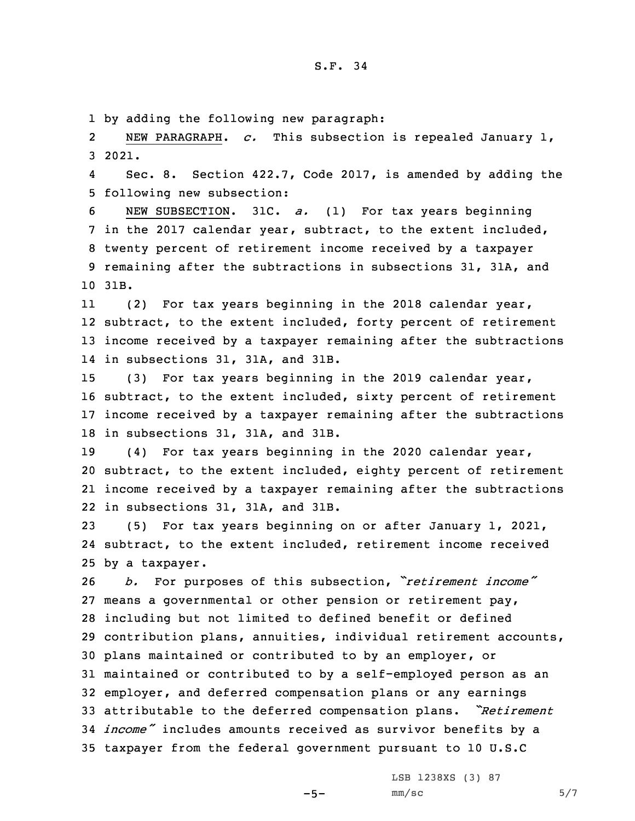## S.F. 34

1 by adding the following new paragraph:

2 NEW PARAGRAPH. *c.* This subsection is repealed January 1, 3 2021.

4 Sec. 8. Section 422.7, Code 2017, is amended by adding the 5 following new subsection:

 NEW SUBSECTION. 31C. *a.* (1) For tax years beginning in the 2017 calendar year, subtract, to the extent included, twenty percent of retirement income received by <sup>a</sup> taxpayer remaining after the subtractions in subsections 31, 31A, and 10 31B.

11 (2) For tax years beginning in the 2018 calendar year, 12 subtract, to the extent included, forty percent of retirement 13 income received by <sup>a</sup> taxpayer remaining after the subtractions 14 in subsections 31, 31A, and 31B.

 (3) For tax years beginning in the 2019 calendar year, subtract, to the extent included, sixty percent of retirement income received by <sup>a</sup> taxpayer remaining after the subtractions in subsections 31, 31A, and 31B.

 (4) For tax years beginning in the 2020 calendar year, subtract, to the extent included, eighty percent of retirement income received by <sup>a</sup> taxpayer remaining after the subtractions in subsections 31, 31A, and 31B.

23 (5) For tax years beginning on or after January 1, 2021, 24 subtract, to the extent included, retirement income received 25 by <sup>a</sup> taxpayer.

 *b.* For purposes of this subsection, *"retirement income"* means <sup>a</sup> governmental or other pension or retirement pay, including but not limited to defined benefit or defined contribution plans, annuities, individual retirement accounts, plans maintained or contributed to by an employer, or maintained or contributed to by <sup>a</sup> self-employed person as an employer, and deferred compensation plans or any earnings attributable to the deferred compensation plans. *"Retirement income"* includes amounts received as survivor benefits by <sup>a</sup> taxpayer from the federal government pursuant to 10 U.S.C

LSB 1238XS (3) 87

 $-5-$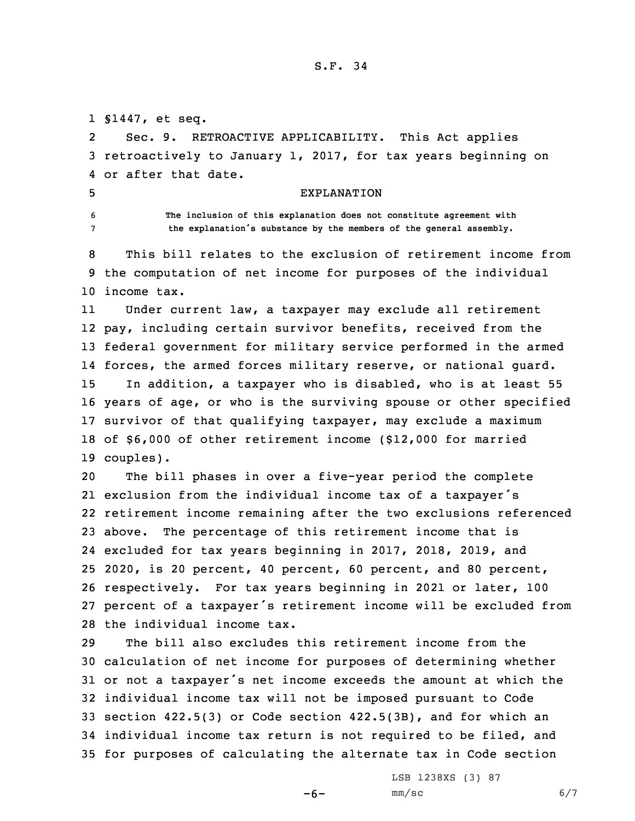## S.F. 34

 §1447, et seq. 2 Sec. 9. RETROACTIVE APPLICABILITY. This Act applies retroactively to January 1, 2017, for tax years beginning on or after that date. EXPLANATION **The inclusion of this explanation does not constitute agreement with the explanation's substance by the members of the general assembly.** This bill relates to the exclusion of retirement income from the computation of net income for purposes of the individual income tax. 11 Under current law, <sup>a</sup> taxpayer may exclude all retirement pay, including certain survivor benefits, received from the federal government for military service performed in the armed forces, the armed forces military reserve, or national guard. In addition, <sup>a</sup> taxpayer who is disabled, who is at least 55 years of age, or who is the surviving spouse or other specified survivor of that qualifying taxpayer, may exclude <sup>a</sup> maximum of \$6,000 of other retirement income (\$12,000 for married couples). The bill phases in over <sup>a</sup> five-year period the complete exclusion from the individual income tax of <sup>a</sup> taxpayer's retirement income remaining after the two exclusions referenced above. The percentage of this retirement income that is excluded for tax years beginning in 2017, 2018, 2019, and 2020, is 20 percent, 40 percent, 60 percent, and 80 percent, respectively. For tax years beginning in 2021 or later, 100 percent of <sup>a</sup> taxpayer's retirement income will be excluded from the individual income tax. The bill also excludes this retirement income from the calculation of net income for purposes of determining whether or not <sup>a</sup> taxpayer's net income exceeds the amount at which the individual income tax will not be imposed pursuant to Code section 422.5(3) or Code section 422.5(3B), and for which an individual income tax return is not required to be filed, and for purposes of calculating the alternate tax in Code section

 $-6-$ 

LSB 1238XS (3) 87  $mm/sc$  6/7